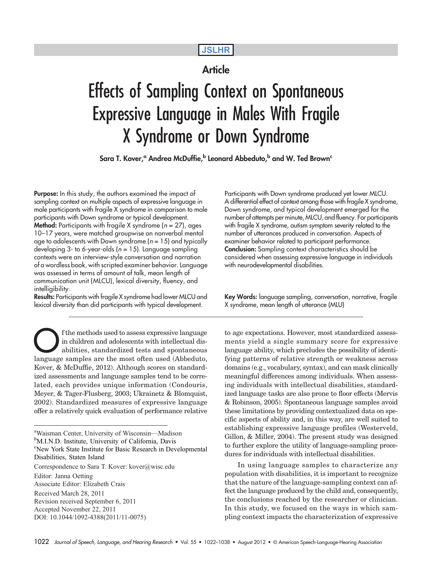# JSLHR

## **Article**

# Effects of Sampling Context on Spontaneous Expressive Language in Males With Fragile X Syndrome or Down Syndrome

Sara T. Kover,<sup>a</sup> Andrea McDuffie,<sup>b</sup> Leonard Abbeduto,<sup>b</sup> and W. Ted Brown<sup>c</sup>

Purpose: In this study, the authors examined the impact of sampling context on multiple aspects of expressive language in male participants with fragile X syndrome in comparison to male participants with Down syndrome or typical development. **Method:** Participants with fragile X syndrome ( $n = 27$ ), ages 10–17 years, were matched groupwise on nonverbal mental age to adolescents with Down syndrome ( $n = 15$ ) and typically developing 3- to 6-year-olds ( $n = 15$ ). Language sampling contexts were an interview-style conversation and narration of a wordless book, with scripted examiner behavior. Language was assessed in terms of amount of talk, mean length of communication unit (MLCU), lexical diversity, fluency, and intelligibility.

Results: Participants with fragile X syndrome had lower MLCU and lexical diversity than did participants with typical development.

The methods used to assess expressive language<br>in children and adolescents with intellectual dis-<br>abilities, standardized tests and spontaneous<br>language samples are the most often used (Abbeduto in children and adolescents with intellectual disabilities, standardized tests and spontaneous language samples are the most often used (Abbeduto, Kover, & McDuffie, 2012). Although scores on standardized assessments and language samples tend to be correlated, each provides unique information (Condouris, Meyer, & Tager-Flusberg, 2003; Ukrainetz & Blomquist, 2002). Standardized measures of expressive language offer a relatively quick evaluation of performance relative

c New York State Institute for Basic Research in Developmental Disabilities, Staten Island

Correspondence to Sara T. Kover: kover@wisc.edu

Associate Editor: Elizabeth Crais

Received March 28, 2011 Revision received September 6, 2011 Accepted November 22, 2011 DOI: 10.1044/1092-4388(2011/11-0075) Participants with Down syndrome produced yet lower MLCU. A differential effect of context among those with fragile X syndrome, Down syndrome, and typical development emerged for the number of attempts per minute, MLCU, and fluency. For participants with fragile X syndrome, autism symptom severity related to the number of utterances produced in conversation. Aspects of examiner behavior related to participant performance. Conclusion: Sampling context characteristics should be considered when assessing expressive language in individuals with neurodevelopmental disabilities.

Key Words: language sampling, conversation, narrative, fragile X syndrome, mean length of utterance (MLU)

to age expectations. However, most standardized assessments yield a single summary score for expressive language ability, which precludes the possibility of identifying patterns of relative strength or weakness across domains (e.g., vocabulary, syntax), and can mask clinically meaningful differences among individuals. When assessing individuals with intellectual disabilities, standardized language tasks are also prone to floor effects (Mervis & Robinson, 2005). Spontaneous language samples avoid these limitations by providing contextualized data on specific aspects of ability and, in this way, are well suited to establishing expressive language profiles (Westerveld, Gillon, & Miller, 2004). The present study was designed to further explore the utility of language-sampling procedures for individuals with intellectual disabilities.

In using language samples to characterize any population with disabilities, it is important to recognize that the nature of the language-sampling context can affect the language produced by the child and, consequently, the conclusions reached by the researcher or clinician. In this study, we focused on the ways in which sampling context impacts the characterization of expressive

<sup>&</sup>lt;sup>a</sup>Waisman Center, University of Wisconsin—Madison<br><sup>b</sup>M I N D. Institute, University of California, Davis

<sup>&</sup>lt;sup>b</sup>M.I.N.D. Institute, University of California, Davis

Editor: Janna Oetting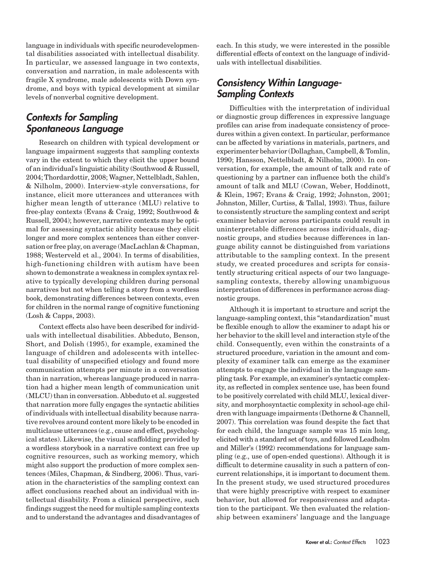language in individuals with specific neurodevelopmental disabilities associated with intellectual disability. In particular, we assessed language in two contexts, conversation and narration, in male adolescents with fragile X syndrome, male adolescents with Down syndrome, and boys with typical development at similar levels of nonverbal cognitive development.

### Contexts for Sampling Spontaneous Language

Research on children with typical development or language impairment suggests that sampling contexts vary in the extent to which they elicit the upper bound of an individual's linguistic ability (Southwood & Russell, 2004; Thordardottir, 2008; Wagner, Nettelbladt, Sahlen, & Nilholm, 2000). Interview-style conversations, for instance, elicit more utterances and utterances with higher mean length of utterance (MLU) relative to free-play contexts (Evans & Craig, 1992; Southwood & Russell, 2004); however, narrative contexts may be optimal for assessing syntactic ability because they elicit longer and more complex sentences than either conversation or free play, on average (MacLachlan & Chapman, 1988; Westerveld et al., 2004). In terms of disabilities, high-functioning children with autism have been shown to demonstrate a weakness in complex syntax relative to typically developing children during personal narratives but not when telling a story from a wordless book, demonstrating differences between contexts, even for children in the normal range of cognitive functioning (Losh & Capps, 2003).

Context effects also have been described for individuals with intellectual disabilities. Abbeduto, Benson, Short, and Dolish (1995), for example, examined the language of children and adolescents with intellectual disability of unspecified etiology and found more communication attempts per minute in a conversation than in narration, whereas language produced in narration had a higher mean length of communication unit (MLCU) than in conversation. Abbeduto et al. suggested that narration more fully engages the syntactic abilities of individuals with intellectual disability because narrative revolves around content more likely to be encoded in multiclause utterances (e.g., cause and effect, psychological states). Likewise, the visual scaffolding provided by a wordless storybook in a narrative context can free up cognitive resources, such as working memory, which might also support the production of more complex sentences (Miles, Chapman, & Sindberg, 2006). Thus, variation in the characteristics of the sampling context can affect conclusions reached about an individual with intellectual disability. From a clinical perspective, such findings suggest the need for multiple sampling contexts and to understand the advantages and disadvantages of each. In this study, we were interested in the possible differential effects of context on the language of individuals with intellectual disabilities.

#### Consistency Within Language-Sampling Contexts

Difficulties with the interpretation of individual or diagnostic group differences in expressive language profiles can arise from inadequate consistency of procedures within a given context. In particular, performance can be affected by variations in materials, partners, and experimenter behavior (Dollaghan, Campbell, & Tomlin, 1990; Hansson, Nettelbladt, & Nilholm, 2000). In conversation, for example, the amount of talk and rate of questioning by a partner can influence both the child's amount of talk and MLU (Cowan, Weber, Hoddinott, & Klein, 1967; Evans & Craig, 1992; Johnston, 2001; Johnston, Miller, Curtiss, & Tallal, 1993). Thus, failure to consistently structure the sampling context and script examiner behavior across participants could result in uninterpretable differences across individuals, diagnostic groups, and studies because differences in language ability cannot be distinguished from variations attributable to the sampling context. In the present study, we created procedures and scripts for consistently structuring critical aspects of our two languagesampling contexts, thereby allowing unambiguous interpretation of differences in performance across diagnostic groups.

Although it is important to structure and script the language-sampling context, this "standardization" must be flexible enough to allow the examiner to adapt his or her behavior to the skill level and interaction style of the child. Consequently, even within the constraints of a structured procedure, variation in the amount and complexity of examiner talk can emerge as the examiner attempts to engage the individual in the language sampling task. For example, an examiner's syntactic complexity, as reflected in complex sentence use, has been found to be positively correlated with child MLU, lexical diversity, and morphosyntactic complexity in school-age children with language impairments (Dethorne & Channell, 2007). This correlation was found despite the fact that for each child, the language sample was 15 min long, elicited with a standard set of toys, and followed Leadholm and Miller's (1992) recommendations for language sampling (e.g., use of open-ended questions). Although it is difficult to determine causality in such a pattern of concurrent relationships, it is important to document them. In the present study, we used structured procedures that were highly prescriptive with respect to examiner behavior, but allowed for responsiveness and adaptation to the participant. We then evaluated the relationship between examiners' language and the language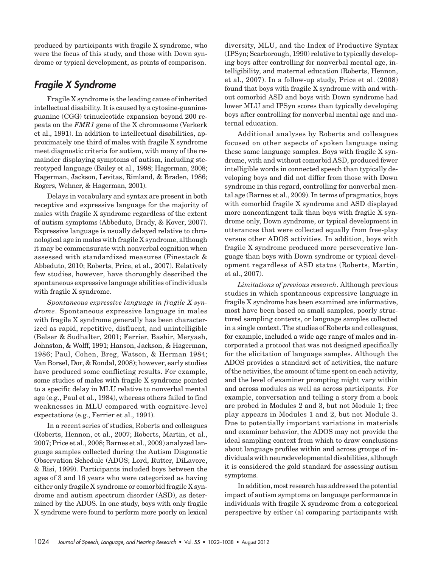produced by participants with fragile X syndrome, who were the focus of this study, and those with Down syndrome or typical development, as points of comparison.

## Fragile X Syndrome

Fragile X syndrome is the leading cause of inherited intellectual disability. It is caused by a cytosine-guanineguanine (CGG) trinucleotide expansion beyond 200 repeats on the FMR1 gene of the X chromosome (Verkerk et al., 1991). In addition to intellectual disabilities, approximately one third of males with fragile X syndrome meet diagnostic criteria for autism, with many of the remainder displaying symptoms of autism, including stereotyped language (Bailey et al., 1998; Hagerman, 2008; Hagerman, Jackson, Levitas, Rimland, & Braden, 1986; Rogers, Wehner, & Hagerman, 2001).

Delays in vocabulary and syntax are present in both receptive and expressive language for the majority of males with fragile X syndrome regardless of the extent of autism symptoms (Abbeduto, Brady, & Kover, 2007). Expressive language is usually delayed relative to chronological age in males with fragile X syndrome, although it may be commensurate with nonverbal cognition when assessed with standardized measures (Finestack & Abbeduto, 2010; Roberts, Price, et al., 2007). Relatively few studies, however, have thoroughly described the spontaneous expressive language abilities of individuals with fragile X syndrome.

Spontaneous expressive language in fragile X syndrome. Spontaneous expressive language in males with fragile X syndrome generally has been characterized as rapid, repetitive, disfluent, and unintelligible (Belser & Sudhalter, 2001; Ferrier, Bashir, Meryash, Johnston, & Wolff, 1991; Hanson, Jackson, & Hagerman, 1986; Paul, Cohen, Breg, Watson, & Herman 1984; Van Borsel, Dor, & Rondal, 2008); however, early studies have produced some conflicting results. For example, some studies of males with fragile X syndrome pointed to a specific delay in MLU relative to nonverbal mental age (e.g., Paul et al., 1984), whereas others failed to find weaknesses in MLU compared with cognitive-level expectations (e.g., Ferrier et al., 1991).

In a recent series of studies, Roberts and colleagues (Roberts, Hennon, et al., 2007; Roberts, Martin, et al., 2007; Price et al., 2008; Barnes et al., 2009) analyzed language samples collected during the Autism Diagnostic Observation Schedule (ADOS; Lord, Rutter, DiLavore, & Risi, 1999). Participants included boys between the ages of 3 and 16 years who were categorized as having either only fragile X syndrome or comorbid fragile X syndrome and autism spectrum disorder (ASD), as determined by the ADOS. In one study, boys with only fragile X syndrome were found to perform more poorly on lexical diversity, MLU, and the Index of Productive Syntax (IPSyn; Scarborough, 1990) relative to typically developing boys after controlling for nonverbal mental age, intelligibility, and maternal education (Roberts, Hennon, et al., 2007). In a follow-up study, Price et al. (2008) found that boys with fragile X syndrome with and without comorbid ASD and boys with Down syndrome had lower MLU and IPSyn scores than typically developing boys after controlling for nonverbal mental age and maternal education.

Additional analyses by Roberts and colleagues focused on other aspects of spoken language using these same language samples. Boys with fragile X syndrome, with and without comorbid ASD, produced fewer intelligible words in connected speech than typically developing boys and did not differ from those with Down syndrome in this regard, controlling for nonverbal mental age (Barnes et al., 2009). In terms of pragmatics, boys with comorbid fragile X syndrome and ASD displayed more noncontingent talk than boys with fragile X syndrome only, Down syndrome, or typical development in utterances that were collected equally from free-play versus other ADOS activities. In addition, boys with fragile X syndrome produced more perseverative language than boys with Down syndrome or typical development regardless of ASD status (Roberts, Martin, et al., 2007).

Limitations of previous research. Although previous studies in which spontaneous expressive language in fragile X syndrome has been examined are informative, most have been based on small samples, poorly structured sampling contexts, or language samples collected in a single context. The studies of Roberts and colleagues, for example, included a wide age range of males and incorporated a protocol that was not designed specifically for the elicitation of language samples. Although the ADOS provides a standard set of activities, the nature of the activities, the amount of time spent on each activity, and the level of examiner prompting might vary within and across modules as well as across participants. For example, conversation and telling a story from a book are probed in Modules 2 and 3, but not Module 1; free play appears in Modules 1 and 2, but not Module 3. Due to potentially important variations in materials and examiner behavior, the ADOS may not provide the ideal sampling context from which to draw conclusions about language profiles within and across groups of individuals with neurodevelopmental disabilities, although it is considered the gold standard for assessing autism symptoms.

In addition, most research has addressed the potential impact of autism symptoms on language performance in individuals with fragile X syndrome from a categorical perspective by either (a) comparing participants with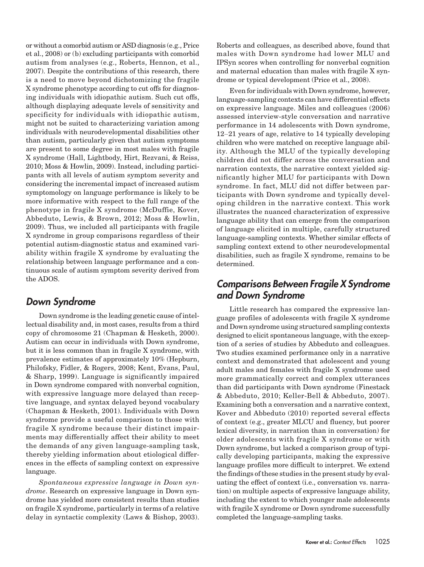or without a comorbid autism or ASD diagnosis (e.g., Price et al., 2008) or (b) excluding participants with comorbid autism from analyses (e.g., Roberts, Hennon, et al., 2007). Despite the contributions of this research, there is a need to move beyond dichotomizing the fragile X syndrome phenotype according to cut offs for diagnosing individuals with idiopathic autism. Such cut offs, although displaying adequate levels of sensitivity and specificity for individuals with idiopathic autism, might not be suited to characterizing variation among individuals with neurodevelopmental disabilities other than autism, particularly given that autism symptoms are present to some degree in most males with fragile X syndrome (Hall, Lightbody, Hirt, Rezvani, & Reiss, 2010; Moss & Howlin, 2009). Instead, including participants with all levels of autism symptom severity and considering the incremental impact of increased autism symptomology on language performance is likely to be more informative with respect to the full range of the phenotype in fragile X syndrome (McDuffie, Kover, Abbeduto, Lewis, & Brown, 2012; Moss & Howlin, 2009). Thus, we included all participants with fragile X syndrome in group comparisons regardless of their potential autism-diagnostic status and examined variability within fragile X syndrome by evaluating the relationship between language performance and a continuous scale of autism symptom severity derived from the ADOS.

#### Down Syndrome

Down syndrome is the leading genetic cause of intellectual disability and, in most cases, results from a third copy of chromosome 21 (Chapman & Hesketh, 2000). Autism can occur in individuals with Down syndrome, but it is less common than in fragile X syndrome, with prevalence estimates of approximately 10% (Hepburn, Philofsky, Fidler, & Rogers, 2008; Kent, Evans, Paul, & Sharp, 1999). Language is significantly impaired in Down syndrome compared with nonverbal cognition, with expressive language more delayed than receptive language, and syntax delayed beyond vocabulary (Chapman & Hesketh, 2001). Individuals with Down syndrome provide a useful comparison to those with fragile X syndrome because their distinct impairments may differentially affect their ability to meet the demands of any given language-sampling task, thereby yielding information about etiological differences in the effects of sampling context on expressive language.

Spontaneous expressive language in Down syndrome. Research on expressive language in Down syndrome has yielded more consistent results than studies on fragile X syndrome, particularly in terms of a relative delay in syntactic complexity (Laws & Bishop, 2003). Roberts and colleagues, as described above, found that males with Down syndrome had lower MLU and IPSyn scores when controlling for nonverbal cognition and maternal education than males with fragile X syndrome or typical development (Price et al., 2008).

Even for individuals with Down syndrome, however, language-sampling contexts can have differential effects on expressive language. Miles and colleagues (2006) assessed interview-style conversation and narrative performance in 14 adolescents with Down syndrome, 12–21 years of age, relative to 14 typically developing children who were matched on receptive language ability. Although the MLU of the typically developing children did not differ across the conversation and narration contexts, the narrative context yielded significantly higher MLU for participants with Down syndrome. In fact, MLU did not differ between participants with Down syndrome and typically developing children in the narrative context. This work illustrates the nuanced characterization of expressive language ability that can emerge from the comparison of language elicited in multiple, carefully structured language-sampling contexts. Whether similar effects of sampling context extend to other neurodevelopmental disabilities, such as fragile X syndrome, remains to be determined.

#### Comparisons Between Fragile X Syndrome and Down Syndrome

Little research has compared the expressive language profiles of adolescents with fragile X syndrome and Down syndrome using structured sampling contexts designed to elicit spontaneous language, with the exception of a series of studies by Abbeduto and colleagues. Two studies examined performance only in a narrative context and demonstrated that adolescent and young adult males and females with fragile X syndrome used more grammatically correct and complex utterances than did participants with Down syndrome (Finestack & Abbeduto, 2010; Keller-Bell & Abbeduto, 2007). Examining both a conversation and a narrative context, Kover and Abbeduto (2010) reported several effects of context (e.g., greater MLCU and fluency, but poorer lexical diversity, in narration than in conversation) for older adolescents with fragile X syndrome or with Down syndrome, but lacked a comparison group of typically developing participants, making the expressive language profiles more difficult to interpret. We extend the findings of these studies in the present study by evaluating the effect of context (i.e., conversation vs. narration) on multiple aspects of expressive language ability, including the extent to which younger male adolescents with fragile X syndrome or Down syndrome successfully completed the language-sampling tasks.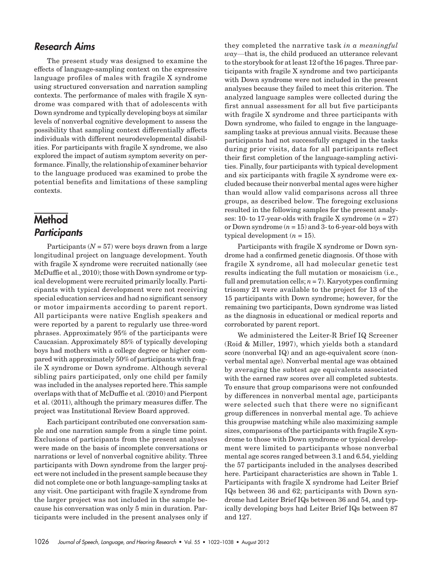#### Research Aims

The present study was designed to examine the effects of language-sampling context on the expressive language profiles of males with fragile X syndrome using structured conversation and narration sampling contexts. The performance of males with fragile X syndrome was compared with that of adolescents with Down syndrome and typically developing boys at similar levels of nonverbal cognitive development to assess the possibility that sampling context differentially affects individuals with different neurodevelopmental disabilities. For participants with fragile X syndrome, we also explored the impact of autism symptom severity on performance. Finally, the relationship of examiner behavior to the language produced was examined to probe the potential benefits and limitations of these sampling contexts.

# **Method Participants**

Participants  $(N = 57)$  were boys drawn from a large longitudinal project on language development. Youth with fragile X syndrome were recruited nationally (see McDuffie et al., 2010); those with Down syndrome or typical development were recruited primarily locally. Participants with typical development were not receiving special education services and had no significant sensory or motor impairments according to parent report. All participants were native English speakers and were reported by a parent to regularly use three-word phrases. Approximately 95% of the participants were Caucasian. Approximately 85% of typically developing boys had mothers with a college degree or higher compared with approximately 50% of participants with fragile X syndrome or Down syndrome. Although several sibling pairs participated, only one child per family was included in the analyses reported here. This sample overlaps with that of McDuffie et al. (2010) and Pierpont et al. (2011), although the primary measures differ. The project was Institutional Review Board approved.

Each participant contributed one conversation sample and one narration sample from a single time point. Exclusions of participants from the present analyses were made on the basis of incomplete conversations or narrations or level of nonverbal cognitive ability. Three participants with Down syndrome from the larger project were not included in the present sample because they did not complete one or both language-sampling tasks at any visit. One participant with fragile X syndrome from the larger project was not included in the sample because his conversation was only 5 min in duration. Participants were included in the present analyses only if they completed the narrative task in a meaningful way—that is, the child produced an utterance relevant to the storybook for at least 12 of the 16 pages. Three participants with fragile X syndrome and two participants with Down syndrome were not included in the present analyses because they failed to meet this criterion. The analyzed language samples were collected during the first annual assessment for all but five participants with fragile X syndrome and three participants with Down syndrome, who failed to engage in the languagesampling tasks at previous annual visits. Because these participants had not successfully engaged in the tasks during prior visits, data for all participants reflect their first completion of the language-sampling activities. Finally, four participants with typical development and six participants with fragile X syndrome were excluded because their nonverbal mental ages were higher than would allow valid comparisons across all three groups, as described below. The foregoing exclusions resulted in the following samples for the present analyses: 10- to 17-year-olds with fragile X syndrome  $(n = 27)$ or Down syndrome  $(n = 15)$  and 3- to 6-year-old boys with typical development  $(n = 15)$ .

Participants with fragile X syndrome or Down syndrome had a confirmed genetic diagnosis. Of those with fragile X syndrome, all had molecular genetic test results indicating the full mutation or mosaicism (i.e., full and premutation cells;  $n = 7$ ). Karyotypes confirming trisomy 21 were available to the project for 13 of the 15 participants with Down syndrome; however, for the remaining two participants, Down syndrome was listed as the diagnosis in educational or medical reports and corroborated by parent report.

We administered the Leiter-R Brief IQ Screener (Roid & Miller, 1997), which yields both a standard score (nonverbal IQ) and an age-equivalent score (nonverbal mental age). Nonverbal mental age was obtained by averaging the subtest age equivalents associated with the earned raw scores over all completed subtests. To ensure that group comparisons were not confounded by differences in nonverbal mental age, participants were selected such that there were no significant group differences in nonverbal mental age. To achieve this groupwise matching while also maximizing sample sizes, comparisons of the participants with fragile X syndrome to those with Down syndrome or typical development were limited to participants whose nonverbal mental age scores ranged between 3.1 and 6.54, yielding the 57 participants included in the analyses described here. Participant characteristics are shown in Table 1. Participants with fragile X syndrome had Leiter Brief IQs between 36 and 62; participants with Down syndrome had Leiter Brief IQs between 36 and 54, and typically developing boys had Leiter Brief IQs between 87 and 127.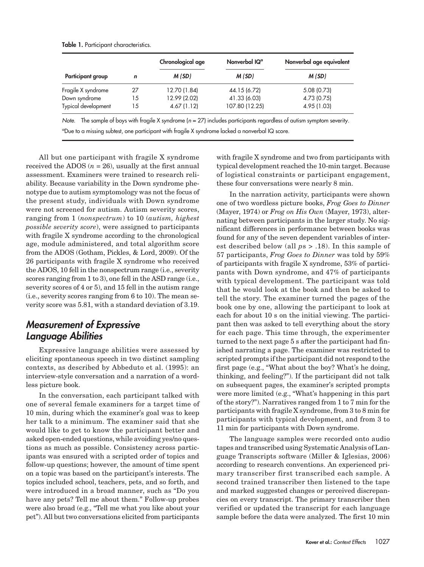#### Table 1. Participant characteristics.

|                     |    | Chronological age | Nonverbal IQ <sup>o</sup> | Nonverbal age equivalent |
|---------------------|----|-------------------|---------------------------|--------------------------|
| Participant group   | n  | M(SD)             | M(SD)                     | M(SD)                    |
| Fragile X syndrome  | 27 | 12.70 (1.84)      | 44.15 (6.72)              | 5.08(0.73)               |
| Down syndrome       | 15 | 12.99 (2.02)      | 41.33 (6.03)              | 4.73 (0.75)              |
| Typical development | 5  | 4.67(1.12)        | 107.80 (12.25)            | 4.95 (1.03)              |

Note. The sample of boys with fragile X syndrome ( $n = 27$ ) includes participants regardless of autism symptom severity.

a Due to a missing subtest, one participant with fragile X syndrome lacked a nonverbal IQ score.

All but one participant with fragile X syndrome received the ADOS  $(n = 26)$ , usually at the first annual assessment. Examiners were trained to research reliability. Because variability in the Down syndrome phenotype due to autism symptomology was not the focus of the present study, individuals with Down syndrome were not screened for autism. Autism severity scores, ranging from 1 (nonspectrum) to 10 (autism, highest possible severity score), were assigned to participants with fragile X syndrome according to the chronological age, module administered, and total algorithm score from the ADOS (Gotham, Pickles, & Lord, 2009). Of the 26 participants with fragile X syndrome who received the ADOS, 10 fell in the nonspectrum range (i.e., severity scores ranging from 1 to 3), one fell in the ASD range (i.e., severity scores of 4 or 5), and 15 fell in the autism range (i.e., severity scores ranging from 6 to 10). The mean severity score was 5.81, with a standard deviation of 3.19.

#### Measurement of Expressive Language Abilities

Expressive language abilities were assessed by eliciting spontaneous speech in two distinct sampling contexts, as described by Abbeduto et al. (1995): an interview-style conversation and a narration of a wordless picture book.

In the conversation, each participant talked with one of several female examiners for a target time of 10 min, during which the examiner's goal was to keep her talk to a minimum. The examiner said that she would like to get to know the participant better and asked open-ended questions, while avoiding yes/no questions as much as possible. Consistency across participants was ensured with a scripted order of topics and follow-up questions; however, the amount of time spent on a topic was based on the participant's interests. The topics included school, teachers, pets, and so forth, and were introduced in a broad manner, such as "Do you have any pets? Tell me about them." Follow-up probes were also broad (e.g., "Tell me what you like about your pet"). All but two conversations elicited from participants

with fragile X syndrome and two from participants with typical development reached the 10-min target. Because of logistical constraints or participant engagement, these four conversations were nearly 8 min.

In the narration activity, participants were shown one of two wordless picture books, Frog Goes to Dinner (Mayer, 1974) or *Frog on His Own* (Mayer, 1973), alternating between participants in the larger study. No significant differences in performance between books was found for any of the seven dependent variables of interest described below (all  $ps > .18$ ). In this sample of 57 participants, Frog Goes to Dinner was told by 59% of participants with fragile X syndrome, 53% of participants with Down syndrome, and 47% of participants with typical development. The participant was told that he would look at the book and then be asked to tell the story. The examiner turned the pages of the book one by one, allowing the participant to look at each for about 10 s on the initial viewing. The participant then was asked to tell everything about the story for each page. This time through, the experimenter turned to the next page 5 s after the participant had finished narrating a page. The examiner was restricted to scripted prompts if the participant did not respond to the first page (e.g., "What about the boy? What's he doing, thinking, and feeling?"). If the participant did not talk on subsequent pages, the examiner's scripted prompts were more limited (e.g., "What's happening in this part of the story?"). Narratives ranged from 1 to 7 min for the participants with fragile X syndrome, from 3 to 8 min for participants with typical development, and from 3 to 11 min for participants with Down syndrome.

The language samples were recorded onto audio tapes and transcribed using Systematic Analysis of Language Transcripts software (Miller & Iglesias, 2006) according to research conventions. An experienced primary transcriber first transcribed each sample. A second trained transcriber then listened to the tape and marked suggested changes or perceived discrepancies on every transcript. The primary transcriber then verified or updated the transcript for each language sample before the data were analyzed. The first 10 min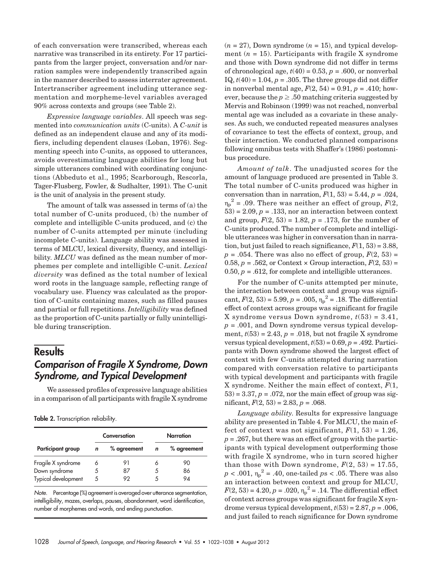of each conversation were transcribed, whereas each narrative was transcribed in its entirety. For 17 participants from the larger project, conversation and/or narration samples were independently transcribed again in the manner described to assess interrater agreement. Intertranscriber agreement including utterance segmentation and morpheme-level variables averaged 90% across contexts and groups (see Table 2).

Expressive language variables. All speech was segmented into communication units (C-units). A C-unit is defined as an independent clause and any of its modifiers, including dependent clauses (Loban, 1976). Segmenting speech into C-units, as opposed to utterances, avoids overestimating language abilities for long but simple utterances combined with coordinating conjunctions (Abbeduto et al., 1995; Scarborough, Rescorla, Tager-Flusberg, Fowler, & Sudhalter, 1991). The C-unit is the unit of analysis in the present study.

The amount of talk was assessed in terms of (a) the total number of C-units produced, (b) the number of complete and intelligible C-units produced, and (c) the number of C-units attempted per minute (including incomplete C-units). Language ability was assessed in terms of MLCU, lexical diversity, fluency, and intelligibility. MLCU was defined as the mean number of morphemes per complete and intelligible C-unit. Lexical diversity was defined as the total number of lexical word roots in the language sample, reflecting range of vocabulary use. Fluency was calculated as the proportion of C-units containing mazes, such as filled pauses and partial or full repetitions. Intelligibility was defined as the proportion of C-units partially or fully unintelligible during transcription.

#### **Results**

# Comparison of Fragile X Syndrome, Down Syndrome, and Typical Development

We assessed profiles of expressive language abilities in a comparison of all participants with fragile X syndrome

Table 2. Transcription reliability.

|                          |   | Conversation | Narration |             |  |  |
|--------------------------|---|--------------|-----------|-------------|--|--|
| <b>Participant group</b> | n | % agreement  | n         | % agreement |  |  |
| Fragile X syndrome       |   | 91           |           | 90          |  |  |
| Down syndrome            | C | 87           |           | 86          |  |  |
| Typical development      | 5 | 92           |           | 94          |  |  |

Note. Percentage (%) agreement is averaged over utterance segmentation, intelligibility, mazes, overlaps, pauses, abandonment, word identification, number of morphemes and words, and ending punctuation.

 $(n = 27)$ , Down syndrome  $(n = 15)$ , and typical development ( $n = 15$ ). Participants with fragile X syndrome and those with Down syndrome did not differ in terms of chronological age,  $t(40) = 0.53$ ,  $p = .600$ , or nonverbal IQ,  $t(40) = 1.04$ ,  $p = .305$ . The three groups did not differ in nonverbal mental age,  $F(2, 54) = 0.91$ ,  $p = .410$ ; however, because the  $p \geq 0.50$  matching criteria suggested by Mervis and Robinson (1999) was not reached, nonverbal mental age was included as a covariate in these analyses. As such, we conducted repeated measures analyses of covariance to test the effects of context, group, and their interaction. We conducted planned comparisons following omnibus tests with Shaffer's (1986) postomnibus procedure.

Amount of talk. The unadjusted scores for the amount of language produced are presented in Table 3. The total number of C-units produced was higher in conversation than in narration,  $F(1, 53) = 5.44$ ,  $p = .024$ ,  $n_p^2$  = .09. There was neither an effect of group,  $F(2, 1)$  $53$ ) = 2.09,  $p = .133$ , nor an interaction between context and group,  $F(2, 53) = 1.82$ ,  $p = .173$ , for the number of C-units produced. The number of complete and intelligible utterances was higher in conversation than in narration, but just failed to reach significance,  $F(1, 53) = 3.88$ ,  $p = .054$ . There was also no effect of group,  $F(2, 53) =$ 0.58,  $p = .562$ , or Context  $\times$  Group interaction,  $F(2, 53) =$ 0.50,  $p = .612$ , for complete and intelligible utterances.

For the number of C-units attempted per minute, the interaction between context and group was significant,  $F(2, 53) = 5.99$ ,  $p = .005$ ,  $\eta_p^2 = .18$ . The differential effect of context across groups was significant for fragile X syndrome versus Down syndrome,  $t(53) = 3.41$ ,  $p = .001$ , and Down syndrome versus typical development,  $t(53) = 2.43$ ,  $p = .018$ , but not fragile X syndrome versus typical development,  $t(53) = 0.69$ ,  $p = .492$ . Participants with Down syndrome showed the largest effect of context with few C-units attempted during narration compared with conversation relative to participants with typical development and participants with fragile X syndrome. Neither the main effect of context,  $F(1, \theta)$  $53$  = 3.37,  $p = 0.072$ , nor the main effect of group was significant,  $F(2, 53) = 2.83$ ,  $p = .068$ .

Language ability. Results for expressive language ability are presented in Table 4. For MLCU, the main effect of context was not significant,  $F(1, 53) = 1.26$ ,  $p = 0.267$ , but there was an effect of group with the participants with typical development outperforming those with fragile X syndrome, who in turn scored higher than those with Down syndrome,  $F(2, 53) = 17.55$ ,  $p < .001$ ,  $\eta_p^2 = .40$ , one-tailed  $ps < .05$ . There was also an interaction between context and group for MLCU,  $F(2, 53) = 4.20, p = .020, \eta_p^2 = .14$ . The differential effect of context across groups was significant for fragile X syndrome versus typical development,  $t(53) = 2.87$ ,  $p = .006$ , and just failed to reach significance for Down syndrome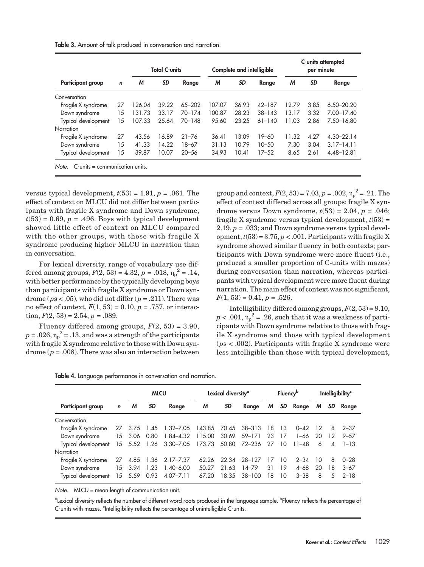| Table 3. Amount of talk produced in conversation and narration. |
|-----------------------------------------------------------------|
|-----------------------------------------------------------------|

|                          |             | <b>Total C-units</b> |           |            |        | Complete and intelligible |            | C-units attempted<br>per minute |           |                |  |
|--------------------------|-------------|----------------------|-----------|------------|--------|---------------------------|------------|---------------------------------|-----------|----------------|--|
| <b>Participant group</b> | $\mathbf n$ | M                    | <b>SD</b> | Range      | M      | <b>SD</b>                 | Range      | M                               | <b>SD</b> | Range          |  |
| Conversation             |             |                      |           |            |        |                           |            |                                 |           |                |  |
| Fragile X syndrome       | 27          | 126.04               | 39.22     | $65 - 202$ | 107.07 | 36.93                     | $42 - 187$ | 12.79                           | 3.85      | $6.50 - 20.20$ |  |
| Down syndrome            | 15          | 131.73               | 33.17     | $70 - 174$ | 100.87 | 28.23                     | $38 - 143$ | 13.17                           | 3.32      | 7.00-17.40     |  |
| Typical development      | 15          | 107.33               | 25.64     | $70 - 148$ | 95.60  | 23.25                     | $61 - 140$ | 11.03                           | 2.86      | $7.50 - 16.80$ |  |
| Narration                |             |                      |           |            |        |                           |            |                                 |           |                |  |
| Fragile X syndrome       | 27          | 43.56                | 16.89     | $21 - 76$  | 36.41  | 13.09                     | $19 - 60$  | 11.32                           | 4.27      | $4.30 - 22.14$ |  |
| Down syndrome            | 15          | 41.33                | 14.22     | 18-67      | 31.13  | 10.79                     | $10 - 50$  | 7.30                            | 3.04      | $3.17 - 14.11$ |  |
| Typical development      | 15          | 39.87                | 10.07     | $20 - 56$  | 34.93  | 10.41                     | $17 - 52$  | 8.65                            | 2.61      | 4.48-12.81     |  |

versus typical development,  $t(53) = 1.91$ ,  $p = .061$ . The effect of context on MLCU did not differ between participants with fragile X syndrome and Down syndrome,  $t(53) = 0.69$ ,  $p = .496$ . Boys with typical development showed little effect of context on MLCU compared with the other groups, with those with fragile X syndrome producing higher MLCU in narration than in conversation.

For lexical diversity, range of vocabulary use differed among groups,  $F(2, 53) = 4.32$ ,  $p = .018$ ,  $\eta_p^2 = .14$ , with better performance by the typically developing boys than participants with fragile X syndrome or Down syndrome ( $ps < .05$ ), who did not differ ( $p = .211$ ). There was no effect of context,  $F(1, 53) = 0.10$ ,  $p = .757$ , or interaction,  $F(2, 53) = 2.54$ ,  $p = .089$ .

Fluency differed among groups,  $F(2, 53) = 3.90$ ,  $p = .026$ ,  $\eta_p^2 = .13$ , and was a strength of the participants with fragile X syndrome relative to those with Down syndrome ( $p = .008$ ). There was also an interaction between

group and context,  $F(2, 53) = 7.03$ ,  $p = .002$ ,  $\eta_p^2 = .21$ . The effect of context differed across all groups: fragile X syndrome versus Down syndrome,  $t(53) = 2.04$ ,  $p = .046$ ; fragile X syndrome versus typical development,  $t(53)$  = 2.19,  $p = .033$ ; and Down syndrome versus typical development,  $t(53) = 3.75$ ,  $p < .001$ . Participants with fragile X syndrome showed similar fluency in both contexts; participants with Down syndrome were more fluent (i.e., produced a smaller proportion of C-units with mazes) during conversation than narration, whereas participants with typical development were more fluent during narration. The main effect of context was not significant,  $F(1, 53) = 0.41, p = .526.$ 

Intelligibility differed among groups,  $F(2, 53) = 9.10$ ,  $p < .001$ ,  $\eta_p^2 = .26$ , such that it was a weakness of participants with Down syndrome relative to those with fragile X syndrome and those with typical development  $(ps < .002)$ . Participants with fragile X syndrome were less intelligible than those with typical development,

|                     |             | <b>MLCU</b> |           |                        | Lexical diversity <sup>a</sup> |           |            | <b>Fluency</b> <sup>b</sup> |    |           | Intelligibility <sup>c</sup> |                  |          |
|---------------------|-------------|-------------|-----------|------------------------|--------------------------------|-----------|------------|-----------------------------|----|-----------|------------------------------|------------------|----------|
| Participant group   | $\mathbf n$ | M           | <b>SD</b> | Range                  | м                              | <b>SD</b> | Range      | M                           | SD | Range     | м                            | <b>SD</b>        | Range    |
| Conversation        |             |             |           |                        |                                |           |            |                             |    |           |                              |                  |          |
| Fragile X syndrome  | 27          | 3.75        | 1.45      | $1.32 - 7.05$          | 143.85 70.45                   |           | $38 - 313$ | 18                          | 13 | $0 - 42$  | 12                           | 8                | $2 - 37$ |
| Down syndrome       | 15          | - 3.06      | 0.80      | 1.84-4.32              | 115.00                         | 30.69     | 59-171     | 23                          | 17 | $1 - 66$  | 20                           | 12               | $9 - 57$ |
| Typical development |             |             |           | 15 5.52 1.26 3.30-7.05 | 173.73 50.80                   |           | 72-236     | 27                          | 10 | $11 - 48$ | 6                            | $\blacktriangle$ | $1 - 13$ |
| Narration           |             |             |           |                        |                                |           |            |                             |    |           |                              |                  |          |
| Fragile X syndrome  | 27          | 4.85        | 1.36      | 2.17–7.37              | 62.26                          | 22.34     | 28-127     | 17                          | 10 | $2 - 34$  | 10                           | 8                | $0 - 28$ |
| Down syndrome       | 15          | 3.94        | 1.23      | $1.40 - 6.00$          | 50.27                          | 21.63     | $14 - 79$  | 31                          | 19 | $4 - 68$  | 20                           | 18               | $3 - 67$ |
| Typical development | 15          | 5.59        | 0.93      | $4.07 - 7.11$          | 67.20                          | 18.35     | $38 - 100$ | 18                          | 10 | $3 - 38$  | 8                            | 5                | $2 - 18$ |

Table 4. Language performance in conversation and narration.

Note. MLCU = mean length of communication unit.

<sup>a</sup>Lexical diversity reflects the number of different word roots produced in the language sample. <sup>b</sup>Fluency reflects the percentage of C-units with mazes. <sup>c</sup>Intelligibility reflects the percentage of unintelligible C-units.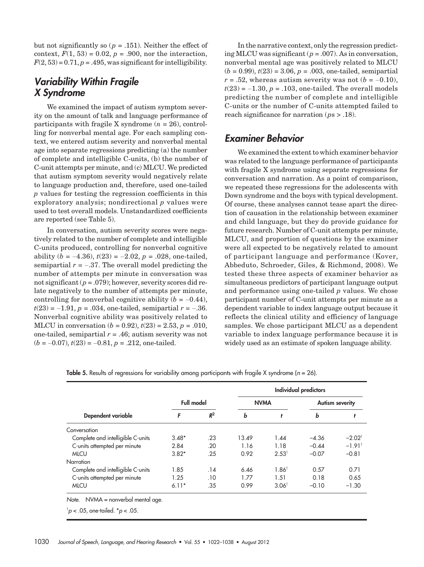but not significantly so  $(p = .151)$ . Neither the effect of context,  $F(1, 53) = 0.02$ ,  $p = .900$ , nor the interaction,  $F(2, 53) = 0.71, p = .495$ , was significant for intelligibility.

#### Variability Within Fragile X Syndrome

We examined the impact of autism symptom severity on the amount of talk and language performance of participants with fragile X syndrome  $(n = 26)$ , controlling for nonverbal mental age. For each sampling context, we entered autism severity and nonverbal mental age into separate regressions predicting (a) the number of complete and intelligible C-units, (b) the number of C-unit attempts per minute, and (c) MLCU. We predicted that autism symptom severity would negatively relate to language production and, therefore, used one-tailed p values for testing the regression coefficients in this exploratory analysis; nondirectional  $p$  values were used to test overall models. Unstandardized coefficients are reported (see Table 5).

In conversation, autism severity scores were negatively related to the number of complete and intelligible C-units produced, controlling for nonverbal cognitive ability ( $b = -4.36$ ),  $t(23) = -2.02$ ,  $p = .028$ , one-tailed, semipartial  $r = -.37$ . The overall model predicting the number of attempts per minute in conversation was not significant ( $p = .079$ ); however, severity scores did relate negatively to the number of attempts per minute, controlling for nonverbal cognitive ability  $(b = -0.44)$ ,  $t(23) = -1.91, p = .034,$  one-tailed, semipartial  $r = -.36$ . Nonverbal cognitive ability was positively related to MLCU in conversation  $(b = 0.92)$ ,  $t(23) = 2.53$ ,  $p = .010$ , one-tailed, semipartial  $r = .46$ ; autism severity was not  $(b = -0.07)$ ,  $t(23) = -0.81$ ,  $p = .212$ , one-tailed.

In the narrative context, only the regression predicting MLCU was significant ( $p = .007$ ). As in conversation, nonverbal mental age was positively related to MLCU  $(b = 0.99)$ ,  $t(23) = 3.06$ ,  $p = .003$ , one-tailed, semipartial  $r = .52$ , whereas autism severity was not ( $b = -0.10$ ),  $t(23) = -1.30$ ,  $p = .103$ , one-tailed. The overall models predicting the number of complete and intelligible C-units or the number of C-units attempted failed to reach significance for narration (ps > .18).

#### Examiner Behavior

We examined the extent to which examiner behavior was related to the language performance of participants with fragile X syndrome using separate regressions for conversation and narration. As a point of comparison, we repeated these regressions for the adolescents with Down syndrome and the boys with typical development. Of course, these analyses cannot tease apart the direction of causation in the relationship between examiner and child language, but they do provide guidance for future research. Number of C-unit attempts per minute, MLCU, and proportion of questions by the examiner were all expected to be negatively related to amount of participant language and performance (Kover, Abbeduto, Schroeder, Giles, & Richmond, 2008). We tested these three aspects of examiner behavior as simultaneous predictors of participant language output and performance using one-tailed  $p$  values. We chose participant number of C-unit attempts per minute as a dependent variable to index language output because it reflects the clinical utility and efficiency of language samples. We chose participant MLCU as a dependent variable to index language performance because it is widely used as an estimate of spoken language ability.

|                                       |            |       |             |                  | Individual predictors |                        |
|---------------------------------------|------------|-------|-------------|------------------|-----------------------|------------------------|
|                                       | Full model |       | <b>NVMA</b> |                  |                       | <b>Autism severity</b> |
| Dependent variable                    | F          | $R^2$ | Ь           |                  | Ь                     |                        |
| Conversation                          |            |       |             |                  |                       |                        |
| Complete and intelligible C-units     | $3.48*$    | .23   | 13.49       | 1.44             | $-4.36$               | $-2.02^{\dagger}$      |
| C-units attempted per minute          | 2.84       | .20   | 1.16        | 1.18             | $-0.44$               | $-1.91^+$              |
| <b>MLCU</b>                           | $3.82*$    | .25   | 0.92        | $2.53^{\dagger}$ | $-0.07$               | $-0.81$                |
| Narration                             |            |       |             |                  |                       |                        |
| Complete and intelligible C-units     | 1.85       | .14   | 6.46        | $1.86^{\dagger}$ | 0.57                  | 0.71                   |
| C-units attempted per minute          | 1.25       | .10   | 1.77        | 1.51             | 0.18                  | 0.65                   |
| <b>MLCU</b>                           | $6.11*$    | .35   | 0.99        | $3.06^{\dagger}$ | $-0.10$               | $-1.30$                |
| NVMA = nonverbal mental age.<br>Note. |            |       |             |                  |                       |                        |

Table 5. Results of regressions for variability among participants with fragile X syndrome ( $n = 26$ ).

 $\tau_p$  < .05, one-tailed.  $\tau_p$  < .05.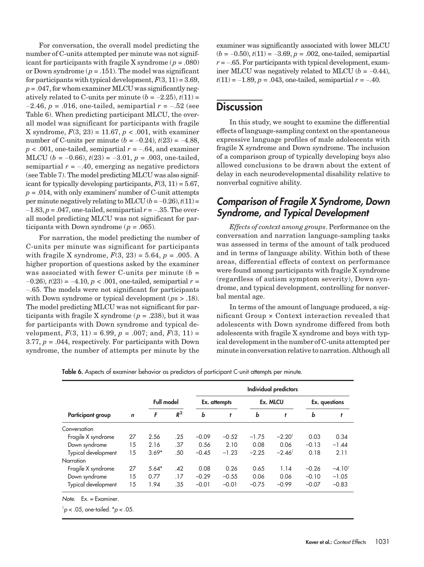For conversation, the overall model predicting the number of C-units attempted per minute was not significant for participants with fragile X syndrome ( $p = .080$ ) or Down syndrome ( $p = .151$ ). The model was significant for participants with typical development,  $F(3, 11) = 3.69$ ,  $p = 0.047$ , for whom examiner MLCU was significantly negatively related to C-units per minute  $(b = -2.25)$ ,  $t(11) =$  $-2.46$ ,  $p = .016$ , one-tailed, semipartial  $r = -.52$  (see Table 6). When predicting participant MLCU, the overall model was significant for participants with fragile X syndrome,  $F(3, 23) = 11.67$ ,  $p < .001$ , with examiner number of C-units per minute  $(b = -0.24)$ ,  $t(23) = -4.88$ ,  $p < .001$ , one-tailed, semipartial  $r = -.64$ , and examiner MLCU ( $b = -0.66$ ),  $t(23) = -3.01$ ,  $p = .003$ , one-tailed, semipartial  $r = -.40$ , emerging as negative predictors (see Table 7). The model predicting MLCU was also significant for typically developing participants,  $F(3, 11) = 5.67$ ,  $p = .014$ , with only examiners' number of C-unit attempts per minute negatively relating to MLCU  $(b = -0.26)$ ,  $t(11) =$  $-1.83, p = .047$ , one-tailed, semipartial  $r = -.35$ . The overall model predicting MLCU was not significant for participants with Down syndrome ( $p = .065$ ).

For narration, the model predicting the number of C-units per minute was significant for participants with fragile X syndrome,  $F(3, 23) = 5.64$ ,  $p = .005$ . A higher proportion of questions asked by the examiner was associated with fewer C-units per minute  $(b =$  $-0.26$ ,  $t(23) = -4.10$ ,  $p < .001$ , one-tailed, semipartial  $r =$ –.65. The models were not significant for participants with Down syndrome or typical development ( $ps > .18$ ). The model predicting MLCU was not significant for participants with fragile X syndrome ( $p = .238$ ), but it was for participants with Down syndrome and typical development,  $F(3, 11) = 6.99$ ,  $p = .007$ ; and,  $F(3, 11) =$ 3.77,  $p = .044$ , respectively. For participants with Down syndrome, the number of attempts per minute by the

examiner was significantly associated with lower MLCU  $(b = -0.50)$ ,  $t(11) = -3.69$ ,  $p = .002$ , one-tailed, semipartial  $r = -.65$ . For participants with typical development, examiner MLCU was negatively related to MLCU ( $b = -0.44$ ),  $t(11) = -1.89, p = .043,$  one-tailed, semipartial  $r = -.40$ .

### **Discussion**

In this study, we sought to examine the differential effects of language-sampling context on the spontaneous expressive language profiles of male adolescents with fragile X syndrome and Down syndrome. The inclusion of a comparison group of typically developing boys also allowed conclusions to be drawn about the extent of delay in each neurodevelopmental disability relative to nonverbal cognitive ability.

## Comparison of Fragile X Syndrome, Down Syndrome, and Typical Development

Effects of context among groups. Performance on the conversation and narration language-sampling tasks was assessed in terms of the amount of talk produced and in terms of language ability. Within both of these areas, differential effects of context on performance were found among participants with fragile X syndrome (regardless of autism symptom severity), Down syndrome, and typical development, controlling for nonverbal mental age.

In terms of the amount of language produced, a significant Group × Context interaction revealed that adolescents with Down syndrome differed from both adolescents with fragile X syndrome and boys with typical development in the number of C-units attempted per minute in conversation relative to narration. Although all

Table 6. Aspects of examiner behavior as predictors of participant C-unit attempts per minute.

|                          |             |            |       |              | Individual predictors |          |                   |               |           |  |  |  |
|--------------------------|-------------|------------|-------|--------------|-----------------------|----------|-------------------|---------------|-----------|--|--|--|
|                          |             | Full model |       | Ex. attempts |                       | Ex. MLCU |                   | Ex. questions |           |  |  |  |
| <b>Participant group</b> | $\mathbf n$ | F          | $R^2$ | b            | t                     | b        | t                 | b             | t         |  |  |  |
| Conversation             |             |            |       |              |                       |          |                   |               |           |  |  |  |
| Fragile X syndrome       | 27          | 2.56       | .25   | $-0.09$      | $-0.52$               | $-1.75$  | $-2.20^{\dagger}$ | 0.03          | 0.34      |  |  |  |
| Down syndrome            | 15          | 2.16       | .37   | 0.56         | 2.10                  | 0.08     | 0.06              | $-0.13$       | $-1.44$   |  |  |  |
| Typical development      | 15          | $3.69*$    | .50   | $-0.45$      | $-1.23$               | $-2.25$  | $-2.46^{\dagger}$ | 0.18          | 2.11      |  |  |  |
| Narration                |             |            |       |              |                       |          |                   |               |           |  |  |  |
| Fragile X syndrome       | 27          | $5.64*$    | .42   | 0.08         | 0.26                  | 0.65     | 1.14              | $-0.26$       | $-4.10^+$ |  |  |  |
| Down syndrome            | 15          | 0.77       | .17   | $-0.29$      | $-0.55$               | 0.06     | 0.06              | $-0.10$       | $-1.05$   |  |  |  |
| Typical development      | 15          | 1.94       | .35   | $-0.01$      | $-0.01$               | $-0.75$  | $-0.99$           | $-0.07$       | $-0.83$   |  |  |  |

Note. Ex. = Examiner.

 $\tau_{p}$  < .05, one-tailed.  $\tau_{p}$  < .05.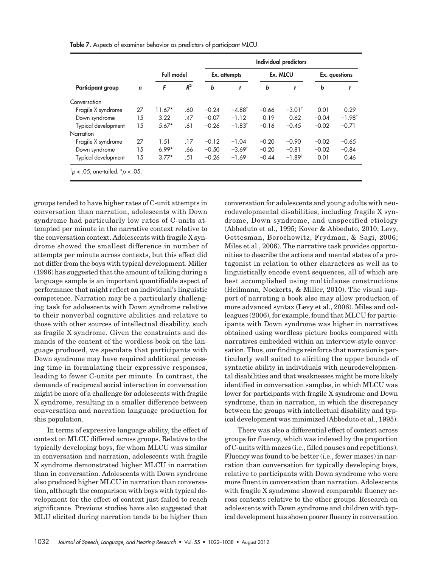Table 7. Aspects of examiner behavior as predictors of participant MLCU.

|                     |             |                   |       | Individual predictors |                      |         |                      |               |                      |  |  |  |
|---------------------|-------------|-------------------|-------|-----------------------|----------------------|---------|----------------------|---------------|----------------------|--|--|--|
|                     |             | <b>Full model</b> |       | Ex. attempts          |                      |         | Ex. MLCU             | Ex. questions |                      |  |  |  |
| Participant group   | $\mathbf n$ | F                 | $R^2$ | b                     | t                    | b       |                      | b             | t                    |  |  |  |
| Conversation        |             |                   |       |                       |                      |         |                      |               |                      |  |  |  |
| Fragile X syndrome  | 27          | 11.67*            | .60   | $-0.24$               | $-4.88^{\dagger}$    | $-0.66$ | $-3.01$ <sup>†</sup> | 0.01          | 0.29                 |  |  |  |
| Down syndrome       | 15          | 3.22              | .47   | $-0.07$               | $-1.12$              | 0.19    | 0.62                 | $-0.04$       | $-1.98$ <sup>†</sup> |  |  |  |
| Typical development | 15          | $5.67*$           | .61   | $-0.26$               | $-1.83^{\dagger}$    | $-0.16$ | $-0.45$              | $-0.02$       | $-0.71$              |  |  |  |
| Narration           |             |                   |       |                       |                      |         |                      |               |                      |  |  |  |
| Fragile X syndrome  | 27          | 1.51              | .17   | $-0.12$               | $-1.04$              | $-0.20$ | $-0.90$              | $-0.02$       | $-0.65$              |  |  |  |
| Down syndrome       | 15          | $6.99*$           | .66   | $-0.50$               | $-3.69$ <sup>t</sup> | $-0.20$ | $-0.81$              | $-0.02$       | $-0.84$              |  |  |  |
| Typical development | 15          | $3.77*$           | .51   | $-0.26$               | $-1.69$              | $-0.44$ | $-1.89$ <sup>t</sup> | 0.01          | 0.46                 |  |  |  |

groups tended to have higher rates of C-unit attempts in conversation than narration, adolescents with Down syndrome had particularly low rates of C-units attempted per minute in the narrative context relative to the conversation context. Adolescents with fragile X syndrome showed the smallest difference in number of attempts per minute across contexts, but this effect did not differ from the boys with typical development. Miller (1996) has suggested that the amount of talking during a language sample is an important quantifiable aspect of performance that might reflect an individual's linguistic competence. Narration may be a particularly challenging task for adolescents with Down syndrome relative to their nonverbal cognitive abilities and relative to those with other sources of intellectual disability, such as fragile X syndrome. Given the constraints and demands of the content of the wordless book on the language produced, we speculate that participants with Down syndrome may have required additional processing time in formulating their expressive responses, leading to fewer C-units per minute. In contrast, the demands of reciprocal social interaction in conversation might be more of a challenge for adolescents with fragile X syndrome, resulting in a smaller difference between conversation and narration language production for this population.

In terms of expressive language ability, the effect of context on MLCU differed across groups. Relative to the typically developing boys, for whom MLCU was similar in conversation and narration, adolescents with fragile X syndrome demonstrated higher MLCU in narration than in conversation. Adolescents with Down syndrome also produced higher MLCU in narration than conversation, although the comparison with boys with typical development for the effect of context just failed to reach significance. Previous studies have also suggested that MLU elicited during narration tends to be higher than

conversation for adolescents and young adults with neurodevelopmental disabilities, including fragile X syndrome, Down syndrome, and unspecified etiology (Abbeduto et al., 1995; Kover & Abbeduto, 2010; Levy, Gottesman, Borochowitz, Frydman, & Sagi, 2006; Miles et al., 2006). The narrative task provides opportunities to describe the actions and mental states of a protagonist in relation to other characters as well as to linguistically encode event sequences, all of which are best accomplished using multiclause constructions (Heilmann, Nockerts, & Miller, 2010). The visual support of narrating a book also may allow production of more advanced syntax (Levy et al., 2006). Miles and colleagues (2006), for example, found that MLCU for participants with Down syndrome was higher in narratives obtained using wordless picture books compared with narratives embedded within an interview-style conversation. Thus, our findings reinforce that narration is particularly well suited to eliciting the upper bounds of syntactic ability in individuals with neurodevelopmental disabilities and that weaknesses might be more likely identified in conversation samples, in which MLCU was lower for participants with fragile X syndrome and Down syndrome, than in narration, in which the discrepancy between the groups with intellectual disability and typical development was minimized (Abbeduto et al., 1995).

There was also a differential effect of context across groups for fluency, which was indexed by the proportion of C-units with mazes (i.e., filled pauses and repetitions). Fluency was found to be better (i.e., fewer mazes) in narration than conversation for typically developing boys, relative to participants with Down syndrome who were more fluent in conversation than narration. Adolescents with fragile X syndrome showed comparable fluency across contexts relative to the other groups. Research on adolescents with Down syndrome and children with typical development has shown poorer fluency in conversation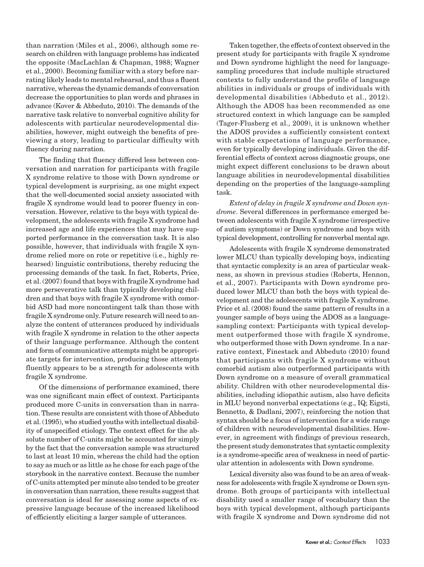than narration (Miles et al., 2006), although some research on children with language problems has indicated the opposite (MacLachlan & Chapman, 1988; Wagner et al., 2000). Becoming familiar with a story before narrating likely leads to mental rehearsal, and thus a fluent narrative, whereas the dynamic demands of conversation decrease the opportunities to plan words and phrases in advance (Kover & Abbeduto, 2010). The demands of the narrative task relative to nonverbal cognitive ability for adolescents with particular neurodevelopmental disabilities, however, might outweigh the benefits of previewing a story, leading to particular difficulty with fluency during narration.

The finding that fluency differed less between conversation and narration for participants with fragile X syndrome relative to those with Down syndrome or typical development is surprising, as one might expect that the well-documented social anxiety associated with fragile X syndrome would lead to poorer fluency in conversation. However, relative to the boys with typical development, the adolescents with fragile X syndrome had increased age and life experiences that may have supported performance in the conversation task. It is also possible, however, that individuals with fragile X syndrome relied more on rote or repetitive (i.e., highly rehearsed) linguistic contributions, thereby reducing the processing demands of the task. In fact, Roberts, Price, et al. (2007) found that boys with fragile X syndrome had more perseverative talk than typically developing children and that boys with fragile X syndrome with comorbid ASD had more noncontingent talk than those with fragile X syndrome only. Future research will need to analyze the content of utterances produced by individuals with fragile X syndrome in relation to the other aspects of their language performance. Although the content and form of communicative attempts might be appropriate targets for intervention, producing those attempts fluently appears to be a strength for adolescents with fragile X syndrome.

Of the dimensions of performance examined, there was one significant main effect of context. Participants produced more C-units in conversation than in narration. These results are consistent with those of Abbeduto et al. (1995), who studied youths with intellectual disability of unspecified etiology. The context effect for the absolute number of C-units might be accounted for simply by the fact that the conversation sample was structured to last at least 10 min, whereas the child had the option to say as much or as little as he chose for each page of the storybook in the narrative context. Because the number of C-units attempted per minute also tended to be greater in conversation than narration, these results suggest that conversation is ideal for assessing some aspects of expressive language because of the increased likelihood of efficiently eliciting a larger sample of utterances.

Taken together, the effects of context observed in the present study for participants with fragile X syndrome and Down syndrome highlight the need for languagesampling procedures that include multiple structured contexts to fully understand the profile of language abilities in individuals or groups of individuals with developmental disabilities (Abbeduto et al., 2012). Although the ADOS has been recommended as one structured context in which language can be sampled (Tager-Flusberg et al., 2009), it is unknown whether the ADOS provides a sufficiently consistent context with stable expectations of language performance, even for typically developing individuals. Given the differential effects of context across diagnostic groups, one might expect different conclusions to be drawn about language abilities in neurodevelopmental disabilities depending on the properties of the language-sampling task.

Extent of delay in fragile X syndrome and Down syndrome. Several differences in performance emerged between adolescents with fragile X syndrome (irrespective of autism symptoms) or Down syndrome and boys with typical development, controlling for nonverbal mental age.

Adolescents with fragile X syndrome demonstrated lower MLCU than typically developing boys, indicating that syntactic complexity is an area of particular weakness, as shown in previous studies (Roberts, Hennon, et al., 2007). Participants with Down syndrome produced lower MLCU than both the boys with typical development and the adolescents with fragile X syndrome. Price et al. (2008) found the same pattern of results in a younger sample of boys using the ADOS as a languagesampling context: Participants with typical development outperformed those with fragile X syndrome, who outperformed those with Down syndrome. In a narrative context, Finestack and Abbeduto (2010) found that participants with fragile X syndrome without comorbid autism also outperformed participants with Down syndrome on a measure of overall grammatical ability. Children with other neurodevelopmental disabilities, including idiopathic autism, also have deficits in MLU beyond nonverbal expectations (e.g., IQ; Eigsti, Bennetto, & Dadlani, 2007), reinforcing the notion that syntax should be a focus of intervention for a wide range of children with neurodevelopmental disabilities. However, in agreement with findings of previous research, the present study demonstrates that syntactic complexity is a syndrome-specific area of weakness in need of particular attention in adolescents with Down syndrome.

Lexical diversity also was found to be an area of weakness for adolescents with fragile X syndrome or Down syndrome. Both groups of participants with intellectual disability used a smaller range of vocabulary than the boys with typical development, although participants with fragile X syndrome and Down syndrome did not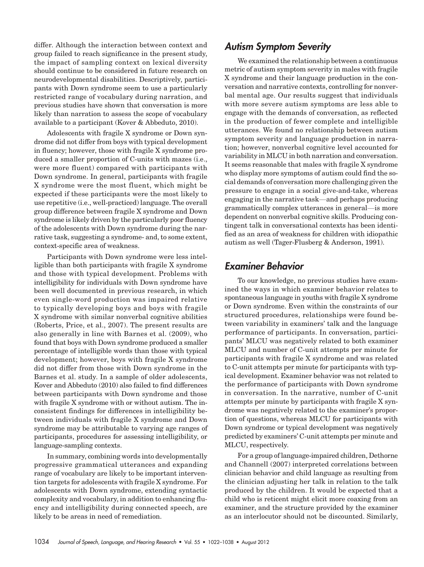differ. Although the interaction between context and group failed to reach significance in the present study, the impact of sampling context on lexical diversity should continue to be considered in future research on neurodevelopmental disabilities. Descriptively, participants with Down syndrome seem to use a particularly restricted range of vocabulary during narration, and previous studies have shown that conversation is more likely than narration to assess the scope of vocabulary available to a participant (Kover & Abbeduto, 2010).

Adolescents with fragile X syndrome or Down syndrome did not differ from boys with typical development in fluency; however, those with fragile X syndrome produced a smaller proportion of C-units with mazes (i.e., were more fluent) compared with participants with Down syndrome. In general, participants with fragile X syndrome were the most fluent, which might be expected if these participants were the most likely to use repetitive (i.e., well-practiced) language. The overall group difference between fragile X syndrome and Down syndrome is likely driven by the particularly poor fluency of the adolescents with Down syndrome during the narrative task, suggesting a syndrome- and, to some extent, context-specific area of weakness.

Participants with Down syndrome were less intelligible than both participants with fragile X syndrome and those with typical development. Problems with intelligibility for individuals with Down syndrome have been well documented in previous research, in which even single-word production was impaired relative to typically developing boys and boys with fragile X syndrome with similar nonverbal cognitive abilities (Roberts, Price, et al., 2007). The present results are also generally in line with Barnes et al. (2009), who found that boys with Down syndrome produced a smaller percentage of intelligible words than those with typical development; however, boys with fragile X syndrome did not differ from those with Down syndrome in the Barnes et al. study. In a sample of older adolescents, Kover and Abbeduto (2010) also failed to find differences between participants with Down syndrome and those with fragile X syndrome with or without autism. The inconsistent findings for differences in intelligibility between individuals with fragile X syndrome and Down syndrome may be attributable to varying age ranges of participants, procedures for assessing intelligibility, or language-sampling contexts.

In summary, combining words into developmentally progressive grammatical utterances and expanding range of vocabulary are likely to be important intervention targets for adolescents with fragile X syndrome. For adolescents with Down syndrome, extending syntactic complexity and vocabulary, in addition to enhancing fluency and intelligibility during connected speech, are likely to be areas in need of remediation.

#### Autism Symptom Severity

We examined the relationship between a continuous metric of autism symptom severity in males with fragile X syndrome and their language production in the conversation and narrative contexts, controlling for nonverbal mental age. Our results suggest that individuals with more severe autism symptoms are less able to engage with the demands of conversation, as reflected in the production of fewer complete and intelligible utterances. We found no relationship between autism symptom severity and language production in narration; however, nonverbal cognitive level accounted for variability in MLCU in both narration and conversation. It seems reasonable that males with fragile X syndrome who display more symptoms of autism could find the social demands of conversation more challenging given the pressure to engage in a social give-and-take, whereas engaging in the narrative task—and perhaps producing grammatically complex utterances in general—is more dependent on nonverbal cognitive skills. Producing contingent talk in conversational contexts has been identified as an area of weakness for children with idiopathic autism as well (Tager-Flusberg & Anderson, 1991).

#### Examiner Behavior

To our knowledge, no previous studies have examined the ways in which examiner behavior relates to spontaneous language in youths with fragile X syndrome or Down syndrome. Even within the constraints of our structured procedures, relationships were found between variability in examiners' talk and the language performance of participants. In conversation, participants' MLCU was negatively related to both examiner MLCU and number of C-unit attempts per minute for participants with fragile X syndrome and was related to C-unit attempts per minute for participants with typical development. Examiner behavior was not related to the performance of participants with Down syndrome in conversation. In the narrative, number of C-unit attempts per minute by participants with fragile X syndrome was negatively related to the examiner's proportion of questions, whereas MLCU for participants with Down syndrome or typical development was negatively predicted by examiners' C-unit attempts per minute and MLCU, respectively.

For a group of language-impaired children, Dethorne and Channell (2007) interpreted correlations between clinician behavior and child language as resulting from the clinician adjusting her talk in relation to the talk produced by the children. It would be expected that a child who is reticent might elicit more coaxing from an examiner, and the structure provided by the examiner as an interlocutor should not be discounted. Similarly,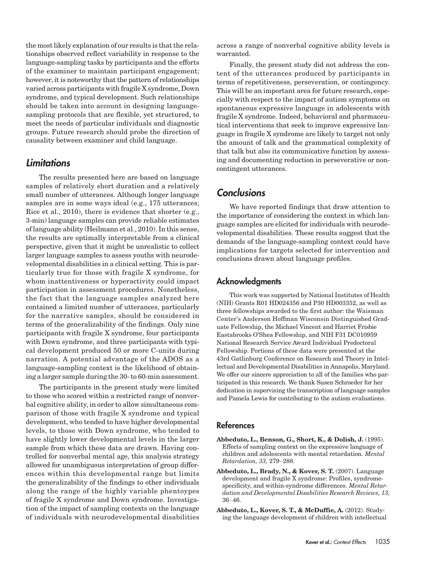the most likely explanation of our results is that the relationships observed reflect variability in response to the language-sampling tasks by participants and the efforts of the examiner to maintain participant engagement; however, it is noteworthy that the pattern of relationships varied across participants with fragile X syndrome, Down syndrome, and typical development. Such relationships should be taken into account in designing languagesampling protocols that are flexible, yet structured, to meet the needs of particular individuals and diagnostic groups. Future research should probe the direction of causality between examiner and child language.

#### **Limitations**

The results presented here are based on language samples of relatively short duration and a relatively small number of utterances. Although longer language samples are in some ways ideal (e.g., 175 utterances; Rice et al., 2010), there is evidence that shorter (e.g., 3-min) language samples can provide reliable estimates of language ability (Heilmann et al., 2010). In this sense, the results are optimally interpretable from a clinical perspective, given that it might be unrealistic to collect larger language samples to assess youths with neurodevelopmental disabilities in a clinical setting. This is particularly true for those with fragile X syndrome, for whom inattentiveness or hyperactivity could impact participation in assessment procedures. Nonetheless, the fact that the language samples analyzed here contained a limited number of utterances, particularly for the narrative samples, should be considered in terms of the generalizability of the findings. Only nine participants with fragile X syndrome, four participants with Down syndrome, and three participants with typical development produced 50 or more C-units during narration. A potential advantage of the ADOS as a language-sampling context is the likelihood of obtaining a larger sample during the 30- to 60-min assessment.

The participants in the present study were limited to those who scored within a restricted range of nonverbal cognitive ability, in order to allow simultaneous comparison of those with fragile X syndrome and typical development, who tended to have higher developmental levels, to those with Down syndrome, who tended to have slightly lower developmental levels in the larger sample from which these data are drawn. Having controlled for nonverbal mental age, this analysis strategy allowed for unambiguous interpretation of group differences within this developmental range but limits the generalizability of the findings to other individuals along the range of the highly variable phentoypes of fragile X syndrome and Down syndrome. Investigation of the impact of sampling contexts on the language of individuals with neurodevelopmental disabilities

across a range of nonverbal cognitive ability levels is warranted.

Finally, the present study did not address the content of the utterances produced by participants in terms of repetitiveness, perseveration, or contingency. This will be an important area for future research, especially with respect to the impact of autism symptoms on spontaneous expressive language in adolescents with fragile X syndrome. Indeed, behavioral and pharmaceutical interventions that seek to improve expressive language in fragile X syndrome are likely to target not only the amount of talk and the grammatical complexity of that talk but also its communicative function by assessing and documenting reduction in perseverative or noncontingent utterances.

#### **Conclusions**

We have reported findings that draw attention to the importance of considering the context in which language samples are elicited for individuals with neurodevelopmental disabilities. These results suggest that the demands of the language-sampling context could have implications for targets selected for intervention and conclusions drawn about language profiles.

#### Acknowledgments

This work was supported by National Institutes of Health (NIH) Grants R01 HD024356 and P30 HD003352, as well as three fellowships awarded to the first author: the Waisman Center's Anderson Hoffman Wisconsin Distinguished Graduate Fellowship, the Michael Vincent and Harriet Frisbie Eastabrooks O'Shea Fellowship, and NIH F31 DC010959 National Research Service Award Individual Predoctoral Fellowship. Portions of these data were presented at the 43rd Gatlinburg Conference on Research and Theory in Intellectual and Developmental Disabilities in Annapolis, Maryland. We offer our sincere appreciation to all of the families who participated in this research. We thank Susen Schroeder for her dedication in supervising the transcription of language samples and Pamela Lewis for contributing to the autism evaluations.

#### References

- Abbeduto, L., Benson, G., Short, K., & Dolish, J. (1995). Effects of sampling context on the expressive language of children and adolescents with mental retardation. Mental Retardation, 33, 279–288.
- Abbeduto, L., Brady, N., & Kover, S. T. (2007). Language development and fragile X syndrome: Profiles, syndromespecificity, and within-syndrome differences. Mental Retardation and Developmental Disabilities Research Reviews, 13, 36–46.
- Abbeduto, L., Kover, S. T., & McDuffie, A. (2012). Studying the language development of children with intellectual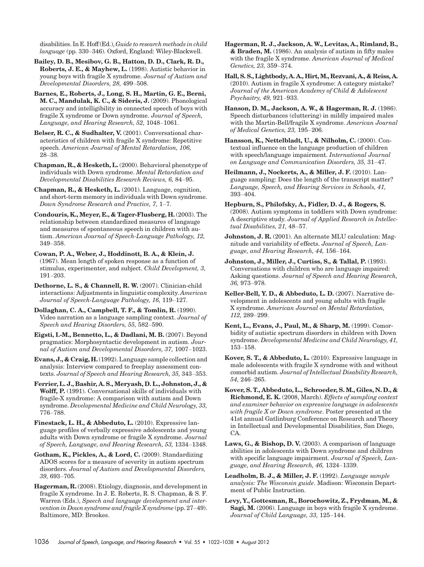disabilities. In E. Hoff (Ed.), Guide to research methods in child language (pp. 330–346). Oxford, England: Wiley-Blackwell.

Bailey, D. B., Mesibov, G. B., Hatton, D. D., Clark, R. D., Roberts, J. E., & Mayhew, L. (1998). Autistic behavior in young boys with fragile X syndrome. Journal of Autism and Developmental Disorders, 28, 499–508.

Barnes, E., Roberts, J., Long, S. H., Martin, G. E., Berni, M. C., Mandulak, K. C., & Sideris, J. (2009). Phonological accuracy and intelligibility in connected speech of boys with fragile X syndrome or Down syndrome. Journal of Speech, Language, and Hearing Research, 52, 1048–1061.

Belser, R. C., & Sudhalter, V. (2001). Conversational characteristics of children with fragile X syndrome: Repetitive speech. American Journal of Mental Retardation, 106, 28–38.

Chapman, R., & Hesketh, L. (2000). Behavioral phenotype of individuals with Down syndrome. Mental Retardation and Developmental Disabilities Research Reviews, 6, 84–95.

Chapman, R., & Hesketh, L. (2001). Language, cognition, and short-term memory in individuals with Down syndrome. Down Syndrome Research and Practice, 7, 1–7.

Condouris, K., Meyer, E., & Tager-Flusberg, H. (2003). The relationship between standardized measures of langauge and measures of spontaneous speech in children with autism. American Journal of Speech-Language Pathology, 12, 349–358.

Cowan, P. A., Weber, J., Hoddinott, B. A., & Klein, J. (1967). Mean length of spoken response as a function of stimulus, experimenter, and subject. Child Development, 3, 191–203.

Dethorne, L. S., & Channell, R. W. (2007). Clinician-child interactions: Adjustments in linguistic complexity. American Journal of Speech-Language Pathology, 16, 119–127.

Dollaghan, C. A., Campbell, T. F., & Tomlin, R. (1990). Video narration as a language sampling context. Journal of Speech and Hearing Disorders, 55, 582–590.

Eigsti, I.-M., Bennetto, L., & Dadlani, M. B. (2007). Beyond pragmatics: Morphosyntactic development in autism. Journal of Autism and Developmental Disorders, 37, 1007–1023.

Evans, J., & Craig, H. (1992). Language sample collection and analysis: Interview compared to freeplay assessment contexts. Journal of Speech and Hearing Research, 35, 343–353.

Ferrier, L. J., Bashir, A. S., Meryash, D. L., Johnston, J., & Wolff, P. (1991). Conversational skills of individuals with fragile-X syndrome: A comparison with autism and Down syndrome. Developmental Medicine and Child Neurology, 33, 776–788.

Finestack, L. H., & Abbeduto, L. (2010). Expressive language profiles of verbally expressive adolescents and young adults with Down syndrome or fragile X syndrome. Journal of Speech, Language, and Hearing Research, 53, 1334–1348.

Gotham, K., Pickles, A., & Lord, C. (2009). Standardizing ADOS scores for a measure of severity in autism spectrum disorders. Journal of Autism and Developmental Disorders, 39, 693–705.

Hagerman, R. (2008). Etiology, diagnosis, and development in fragile X syndrome. In J. E. Roberts, R. S. Chapman, & S. F. Warren (Eds.), Speech and language development and intervention in Down syndrome and fragile X syndrome (pp. 27–49). Baltimore, MD: Brookes.

Hagerman, R. J., Jackson, A. W., Levitas, A., Rimland, B., & Braden, M. (1986). An analysis of autism in fifty males with the fragile X syndrome. American Journal of Medical Genetics, 23, 359–374.

Hall, S. S., Lightbody, A. A., Hirt, M., Rezvani, A., & Reiss, A. (2010). Autism in fragile X syndrome: A category mistake? Journal of the American Academy of Child & Adolescent Psychaitry, 49, 921–933.

Hanson, D. M., Jackson, A. W., & Hagerman, R. J. (1986). Speech disturbances (cluttering) in mildly impaired males with the Martin-Bell/fragile X syndrome. American Journal of Medical Genetics, 23, 195–206.

Hansson, K., Nettelbladt, U., & Nilholm, C. (2000). Contextual influence on the language production of children with speech/language impairment. International Journal on Language and Communication Disorders, 35, 31–47.

Heilmann, J., Nockerts, A., & Miller, J. F. (2010). Language sampling: Does the length of the transcript matter? Language, Speech, and Hearing Services in Schools, 41, 393–404.

Hepburn, S., Philofsky, A., Fidler, D. J., & Rogers, S. (2008). Autism symptoms in toddlers with Down syndrome: A descriptive study. Journal of Applied Research in Intellectual Disabilities, 21, 48–57.

Johnston, J. R. (2001). An alternate MLU calculation: Magnitude and variability of effects. Journal of Speech, Language, and Hearing Research, 44, 156–164.

Johnston, J., Miller, J., Curtiss, S., & Tallal, P. (1993). Conversations with children who are language impaired: Asking questions. Journal of Speech and Hearing Research, 36, 973–978.

Keller-Bell, Y. D., & Abbeduto, L. D. (2007). Narrative development in adolescents and young adults with fragile X syndrome. American Journal on Mental Retardation, 112, 289–299.

Kent, L., Evans, J., Paul, M., & Sharp, M. (1999). Comorbidity of autistic spectrum disorders in children with Down syndrome. Developmental Medicine and Child Neurology, 41, 153–158.

Kover, S. T., & Abbeduto, L. (2010). Expressive language in male adolescents with fragile X syndrome with and without comorbid autism. Journal of Intellectual Disability Research, 54, 246–265.

Kover, S. T., Abbeduto, L., Schroeder, S. M., Giles, N. D., & Richmond, E. K. (2008, March). Effects of sampling context and examiner behavior on expressive language in adolescents with fragile X or Down syndrome. Poster presented at the 41st annual Gatlinburg Conference on Research and Theory in Intellectual and Developmental Disabilities, San Diego, CA.

Laws, G., & Bishop, D. V. (2003). A comparison of language abilities in adolescents with Down syndrome and children with specific language impairment. Journal of Speech, Language, and Hearing Research, 46, 1324–1339.

Leadholm, B. J., & Miller, J. F. (1992). Language sample analysis: The Wisconsin guide. Madison: Wisconsin Department of Public Instruction.

Levy, Y., Gottesman, R., Borochowitz, Z., Frydman, M., & Sagi, M. (2006). Language in boys with fragile X syndrome. Journal of Child Language, 33, 125–144.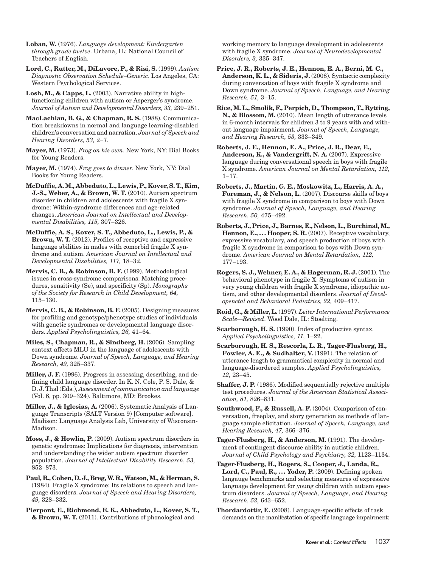Loban, W. (1976). Language development: Kindergarten through grade twelve. Urbana, IL: National Council of Teachers of English.

Lord, C., Rutter, M., DiLavore, P., & Risi, S. (1999). Autism Diagnostic Observation Schedule–Generic. Los Angeles, CA: Western Psychological Services.

Losh, M., & Capps, L. (2003). Narrative ability in highfunctioning children with autism or Asperger's syndrome. Journal of Autism and Developmental Disorders, 33, 239–251.

MacLachlan, B. G., & Chapman, R. S. (1988). Communication breakdowns in normal and language learning-disabled children's conversation and narration. Journal of Speech and Hearing Disorders, 53, 2–7.

Mayer, M. (1973). Frog on his own. New York, NY: Dial Books for Young Readers.

Mayer, M. (1974). Frog goes to dinner. New York, NY: Dial Books for Young Readers.

McDuffie, A. M., Abbeduto, L., Lewis, P., Kover, S. T., Kim, J.-S., Weber, A., & Brown, W. T. (2010). Autism spectrum disorder in children and adolescents with fragile X syndrome: Within-syndrome differences and age-related changes. American Journal on Intellectual and Developmental Disabilities, 115, 307–326.

McDuffie, A. S., Kover, S. T., Abbeduto, L., Lewis, P., & Brown, W. T. (2012). Profiles of receptive and expressive language abilities in males with comorbid fragile X syndrome and autism. American Journal on Intellectual and Developmental Disabilities, 117, 18–32.

Mervis, C. B., & Robinson, B. F. (1999). Methodological issues in cross-syndrome comparisons: Matching procedures, sensitivity (Se), and specificity (Sp). Monographs of the Society for Research in Child Development, 64, 115–130.

Mervis, C. B., & Robinson, B. F. (2005). Designing measures for profiling and genotype/phenotype studies of individuals with genetic syndromes or developmental language disorders. Applied Psycholinguistics, 26, 41–64.

Miles, S., Chapman, R., & Sindberg, H. (2006). Sampling context affects MLU in the language of adolescents with Down syndrome. Journal of Speech, Language, and Hearing Research, 49, 325–337.

Miller, J. F. (1996). Progress in assessing, describing, and defining child language disorder. In K. N. Cole, P. S. Dale, & D. J. Thal (Eds.), Assessment of communication and language (Vol. 6, pp. 309–324). Baltimore, MD: Brookes.

Miller, J., & Iglesias, A. (2006). Systematic Analysis of Language Transcripts (SALT Version 9) [Computer software]. Madison: Language Analysis Lab, University of Wisconsin-Madison.

Moss, J., & Howlin, P. (2009). Autism spectrum disorders in genetic syndromes: Implications for diagnosis, intervention and understanding the wider autism spectrum disorder population. Journal of Intellectual Disability Research, 53, 852–873.

Paul, R., Cohen, D. J., Breg, W. R., Watson, M., & Herman, S. (1984). Fragile X syndrome: Its relations to speech and language disorders. Journal of Speech and Hearing Disorders, 49, 328–332.

Pierpont, E., Richmond, E. K., Abbeduto, L., Kover, S. T., & Brown, W. T. (2011). Contributions of phonological and

working memory to language development in adolescents with fragile X syndrome. Journal of Neurodevelopmental Disorders, 3, 335–347.

Price, J. R., Roberts, J. E., Hennon, E. A., Berni, M. C., Anderson, K. L., & Sideris, J. (2008). Syntactic complexity during conversation of boys with fragile X syndrome and Down syndrome. Journal of Speech, Language, and Hearing Research, 51, 3–15.

Rice, M. L., Smolik, F., Perpich, D., Thompson, T., Rytting, N., & Blossom, M. (2010). Mean length of utterance levels in 6-month intervals for children 3 to 9 years with and without language impairment. Journal of Speech, Language, and Hearing Research, 53, 333–349.

Roberts, J. E., Hennon, E. A., Price, J. R., Dear, E., Anderson, K., & Vandergrift, N. A. (2007). Expressive language during conversational speech in boys with fragile X syndrome. American Journal on Mental Retardation, 112, 1–17.

Roberts, J., Martin, G. E., Moskowitz, L., Harris, A. A., Foreman, J., & Nelson, L. (2007). Discourse skills of boys with fragile X syndrome in comparison to boys with Down syndrome. Journal of Speech, Language, and Hearing Research, 50, 475–492.

Roberts, J., Price, J., Barnes, E., Nelson, L., Burchinal, M., Hennon, E., ... Hooper, S. R. (2007). Receptive vocabulary, expressive vocabulary, and speech production of boys with fragile X syndrome in comparison to boys with Down syndrome. American Journal on Mental Retardation, 112, 177–193.

Rogers, S. J., Wehner, E. A., & Hagerman, R. J. (2001). The behavioral phenotype in fragile X: Symptoms of autism in very young children with fragile X syndrome, idiopathic autism, and other developmental disorders. Journal of Developenetal and Behavioral Pediatrics, 22, 409–417.

Roid, G., & Miller, L. (1997). Leiter International Performance Scale—Revised. Wood Dale, IL: Stoelting.

Scarborough, H. S. (1990). Index of productive syntax. Applied Psycholinguistics, 11, 1–22.

Scarborough, H. S., Rescorla, L. R., Tager-Flusberg, H., Fowler, A. E., & Sudhalter, V. (1991). The relation of utterance length to grammatical complexity in normal and language-disordered samples. Applied Psycholinguistics, 12, 23–45.

Shaffer, J. P. (1986). Modified sequentially rejective multiple test procedures. Journal of the American Statistical Association, 81, 826–831.

Southwood, F., & Russell, A. F. (2004). Comparison of conversation, freeplay, and story generation as methods of language sample elicitation. Journal of Speech, Language, and Hearing Research, 47, 366–376.

Tager-Flusberg, H., & Anderson, M. (1991). The development of contingent discourse ability in autistic children. Journal of Child Psychology and Psychiatry, 32, 1123–1134.

Tager-Flusberg, H., Rogers, S., Cooper, J., Landa, R., Lord, C., Paul, R., ... Yoder, P. (2009). Defining spoken langauge benchmarks and selecting measures of expressive language development for young children with autism spectrum disorders. Journal of Speech, Language, and Hearing Research, 52, 643–652.

Thordardottir, E. (2008). Language-specific effects of task demands on the manifestation of specific language impairment: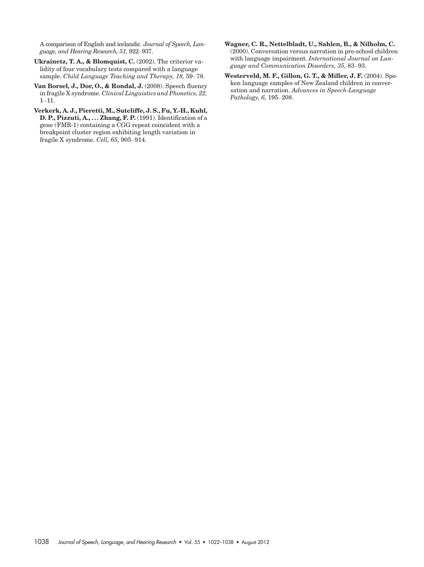A comparison of English and icelandic. Journal of Speech, Language, and Hearing Research, 51, 922–937.

- Ukrainetz, T. A., & Blomquist, C. (2002). The criterior validity of four vocabulary tests compared with a language sample. Child Language Teaching and Therapy, 18, 59–78.
- Van Borsel, J., Dor, O., & Rondal, J. (2008). Speech fluency in fragile X syndrome. Clinical Linguistics and Phonetics, 22, 1–11.
- Verkerk, A. J., Pieretti, M., Sutcliffe, J. S., Fu, Y.-H., Kuhl, D. P., Pizzuti, A., ... Zhang, F. P. (1991). Identification of a gene (FMR-1) containing a CGG repeat coincident with a breakpoint cluster region exhibiting length variation in fragile X syndrome. Cell, 65, 905–914.
- Wagner, C. R., Nettelbladt, U., Sahlen, B., & Nilholm, C. (2000). Conversation versus narration in pre-school children with language impairment. International Journal on Language and Communication Disorders, 35, 83–93.
- Westerveld, M. F., Gillon, G. T., & Miller, J. F. (2004). Spoken language samples of New Zealand children in conversation and narration. Advances in Speech-Language Pathology, 6, 195–208.